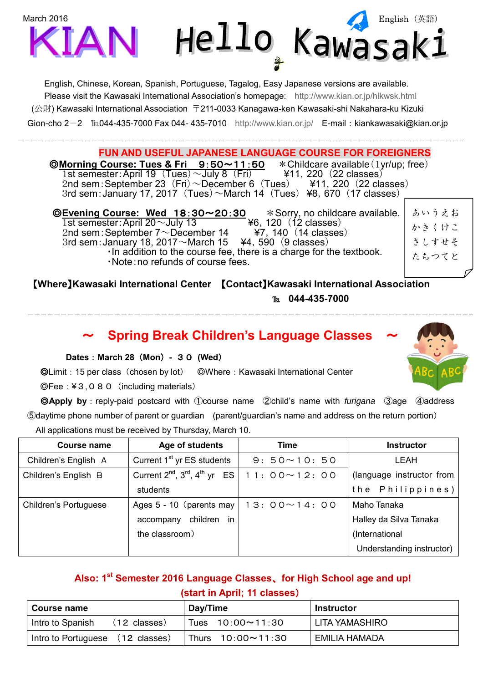

English, Chinese, Korean, Spanish, Portuguese, Tagalog, Easy Japanese versions are available. Please visit the Kawasaki International Association's homepage: <http://www.kian.or.jp/hlkwsk.html> (公財) Kawasaki International Association 〒211-0033 Kanagawa-ken Kawasaki-shi Nakahara-ku Kizuki Gion-cho 2-2 ℡044-435-7000 Fax 044- 435-7010 <http://www.kian.or.jp/> E-mail: kiankawasaki@kian.or.jp

**FUN AND USEFUL JAPANESE LANGUAGE COURSE FOR FOREIGNERS**<br>Course: Tues & Fri 9:50~11:50 \* Childcare available (1yr/up; free) ◎**Morning Course: Tues & Fri** 9:50~11:50 \*Childcare available(1yr/up; free) 1st semester: April 19  $(Tues) \sim$  July 8  $(Fri)$   $\qquad$  ¥11, 220  $(22 \text{ classes})$ <br>2nd sem: September 23  $(Fri) \sim$  December 6  $(Tues)$  ¥11, 220  $(22 \text{ classes})$ 2nd sem: September 23 (Fri)  $\sim$  December 6 (Tues) 3rd sem: January 17, 2017 (Tues)  $\sim$  March 14 (Tues) ¥8, 670 (17 classes)

©Evening Course: Wed 18:30~20:30 \*Sorry, no childcare available.<br>1st semester: April 20∼July 13 **\*6**, 120 (12 classes) 1st semester:April 20~July 13 ¥6,120 (12 classes) 2nd sem: September  $7 \sim$ December 14 3rd sem: January 18, 2017 $\sim$ March 15  $\div$  44, 590 (9 classes) ・In addition to the course fee, there is a charge for the textbook. ・Note:no refunds of course fees. あいうえお かきくけこ さしすせそ たちつてと

【**Where**】**Kawasaki International Center** 【**Contact**】**Kawasaki International Association** ℡ **044-435-7000**  $\overline{a}$ 

### ~ **Spring Break Children's Language Classes** ~

#### **Dates**:**March 28**(**Mon**)**-** 30 **(Wed**)

◎Limit:15 per class(chosen by lot) ◎Where:Kawasaki International Center

◎Fee:¥3,080(including materials)

 ◎**Apply by**:reply-paid postcard with ①course name ②child's name with *furigana* ③age ④address ⑤daytime phone number of parent or guardian (parent/guardian's name and address on the return portion) All applications must be received by Thursday, March 10.

| Course name                  | Age of students                                                | Time               | <b>Instructor</b>         |
|------------------------------|----------------------------------------------------------------|--------------------|---------------------------|
| Children's English A         | Current 1 <sup>st</sup> yr ES students                         | $9:50 \sim 10:50$  | <b>LEAH</b>               |
| Children's English B         | Current $2^{nd}$ , $3^{rd}$ , $4^{th}$ yr ES   11: 00 ~ 12: 00 |                    | (language instructor from |
|                              | students                                                       |                    | the Philippines)          |
| <b>Children's Portuguese</b> | Ages 5 - 10 (parents may                                       | $13:00 \sim 14:00$ | Maho Tanaka               |
|                              | children in<br>accompany                                       |                    | Halley da Silva Tanaka    |
|                              | the classroom)                                                 |                    | (International            |
|                              |                                                                |                    | Understanding instructor) |

## **Also: 1 st Semester 2016 Language Classes**、**for High School age and up! (start in April; 11 classes**)

| <b>Course name</b>                         | Day/Time                 | Instructor     |
|--------------------------------------------|--------------------------|----------------|
| Intro to Spanish<br>$(12 \text{ classes})$ | Tues $10:00 \sim 11:30$  | LITA YAMASHIRO |
| Intro to Portuguese (12 classes)           | Thurs $10:00 \sim 11:30$ | EMILIA HAMADA  |